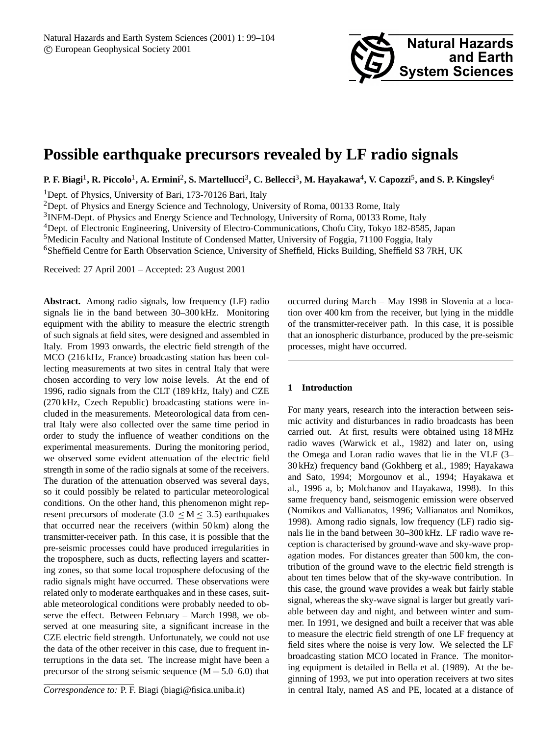# **Possible earthquake precursors revealed by LF radio signals**

**P. F. Biagi**<sup>1</sup> **, R. Piccolo**<sup>1</sup> **, A. Ermini**<sup>2</sup> **, S. Martellucci**<sup>3</sup> **, C. Bellecci**<sup>3</sup> **, M. Hayakawa**<sup>4</sup> **, V. Capozzi**<sup>5</sup> **, and S. P. Kingsley**<sup>6</sup>

<sup>1</sup>Dept. of Physics, University of Bari, 173-70126 Bari, Italy

<sup>2</sup>Dept. of Physics and Energy Science and Technology, University of Roma, 00133 Rome, Italy

<sup>3</sup>INFM-Dept. of Physics and Energy Science and Technology, University of Roma, 00133 Rome, Italy

<sup>4</sup>Dept. of Electronic Engineering, University of Electro-Communications, Chofu City, Tokyo 182-8585, Japan

<sup>5</sup>Medicin Faculty and National Institute of Condensed Matter, University of Foggia, 71100 Foggia, Italy

<sup>6</sup>Sheffield Centre for Earth Observation Science, University of Sheffield, Hicks Building, Sheffield S3 7RH, UK

Received: 27 April 2001 – Accepted: 23 August 2001

**Abstract.** Among radio signals, low frequency (LF) radio signals lie in the band between 30–300 kHz. Monitoring equipment with the ability to measure the electric strength of such signals at field sites, were designed and assembled in Italy. From 1993 onwards, the electric field strength of the MCO (216 kHz, France) broadcasting station has been collecting measurements at two sites in central Italy that were chosen according to very low noise levels. At the end of 1996, radio signals from the CLT (189 kHz, Italy) and CZE (270 kHz, Czech Republic) broadcasting stations were included in the measurements. Meteorological data from central Italy were also collected over the same time period in order to study the influence of weather conditions on the experimental measurements. During the monitoring period, we observed some evident attenuation of the electric field strength in some of the radio signals at some of the receivers. The duration of the attenuation observed was several days, so it could possibly be related to particular meteorological conditions. On the other hand, this phenomenon might represent precursors of moderate (3.0  $\leq M \leq$  3.5) earthquakes that occurred near the receivers (within 50 km) along the transmitter-receiver path. In this case, it is possible that the pre-seismic processes could have produced irregularities in the troposphere, such as ducts, reflecting layers and scattering zones, so that some local troposphere defocusing of the radio signals might have occurred. These observations were related only to moderate earthquakes and in these cases, suitable meteorological conditions were probably needed to observe the effect. Between February – March 1998, we observed at one measuring site, a significant increase in the CZE electric field strength. Unfortunately, we could not use the data of the other receiver in this case, due to frequent interruptions in the data set. The increase might have been a precursor of the strong seismic sequence  $(M = 5.0-6.0)$  that

occurred during March – May 1998 in Slovenia at a location over 400 km from the receiver, but lying in the middle of the transmitter-receiver path. In this case, it is possible that an ionospheric disturbance, produced by the pre-seismic processes, might have occurred.

### **1 Introduction**

For many years, research into the interaction between seismic activity and disturbances in radio broadcasts has been carried out. At first, results were obtained using 18 MHz radio waves (Warwick et al., 1982) and later on, using the Omega and Loran radio waves that lie in the VLF (3– 30 kHz) frequency band (Gokhberg et al., 1989; Hayakawa and Sato, 1994; Morgounov et al., 1994; Hayakawa et al., 1996 a, b; Molchanov and Hayakawa, 1998). In this same frequency band, seismogenic emission were observed (Nomikos and Vallianatos, 1996; Vallianatos and Nomikos, 1998). Among radio signals, low frequency (LF) radio signals lie in the band between 30–300 kHz. LF radio wave reception is characterised by ground-wave and sky-wave propagation modes. For distances greater than 500 km, the contribution of the ground wave to the electric field strength is about ten times below that of the sky-wave contribution. In this case, the ground wave provides a weak but fairly stable signal, whereas the sky-wave signal is larger but greatly variable between day and night, and between winter and summer. In 1991, we designed and built a receiver that was able to measure the electric field strength of one LF frequency at field sites where the noise is very low. We selected the LF broadcasting station MCO located in France. The monitoring equipment is detailed in Bella et al. (1989). At the beginning of 1993, we put into operation receivers at two sites in central Italy, named AS and PE, located at a distance of

*Correspondence to:* P. F. Biagi (biagi@fisica.uniba.it)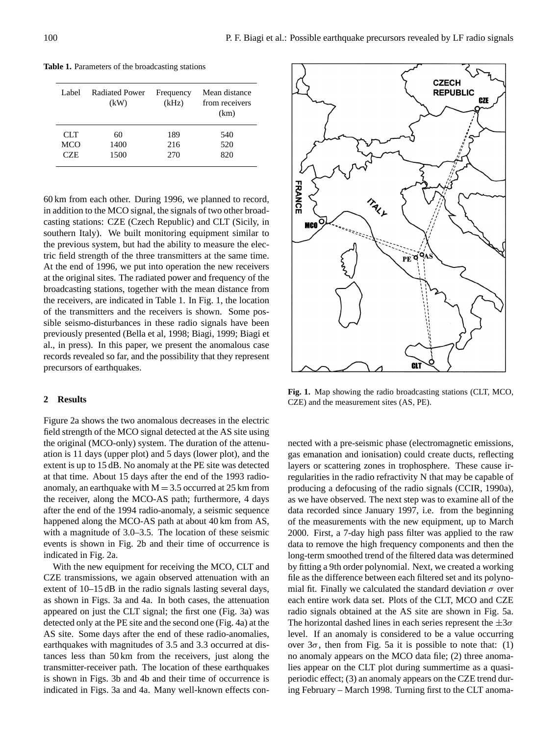| Label. | <b>Radiated Power</b><br>(kW) | Frequency<br>(kHz) | Mean distance<br>from receivers<br>(km) |
|--------|-------------------------------|--------------------|-----------------------------------------|
| CLT    | 60                            | 189                | 540                                     |
| MCO    | 1400                          | 216                | 520                                     |
| CZE    | 1500                          | 270                | 820                                     |

**Table 1.** Parameters of the broadcasting stations

60 km from each other. During 1996, we planned to record, in addition to the MCO signal, the signals of two other broadcasting stations: CZE (Czech Republic) and CLT (Sicily, in southern Italy). We built monitoring equipment similar to the previous system, but had the ability to measure the electric field strength of the three transmitters at the same time. At the end of 1996, we put into operation the new receivers at the original sites. The radiated power and frequency of the broadcasting stations, together with the mean distance from the receivers, are indicated in Table 1. In Fig. 1, the location of the transmitters and the receivers is shown. Some possible seismo-disturbances in these radio signals have been previously presented (Bella et al, 1998; Biagi, 1999; Biagi et al., in press). In this paper, we present the anomalous case records revealed so far, and the possibility that they represent precursors of earthquakes.

#### **2 Results**

Figure 2a shows the two anomalous decreases in the electric field strength of the MCO signal detected at the AS site using the original (MCO-only) system. The duration of the attenuation is 11 days (upper plot) and 5 days (lower plot), and the extent is up to 15 dB. No anomaly at the PE site was detected at that time. About 15 days after the end of the 1993 radioanomaly, an earthquake with  $M = 3.5$  occurred at 25 km from the receiver, along the MCO-AS path; furthermore, 4 days after the end of the 1994 radio-anomaly, a seismic sequence happened along the MCO-AS path at about 40 km from AS, with a magnitude of 3.0–3.5. The location of these seismic events is shown in Fig. 2b and their time of occurrence is indicated in Fig. 2a.

With the new equipment for receiving the MCO, CLT and CZE transmissions, we again observed attenuation with an extent of 10–15 dB in the radio signals lasting several days, as shown in Figs. 3a and 4a. In both cases, the attenuation appeared on just the CLT signal; the first one (Fig. 3a) was detected only at the PE site and the second one (Fig. 4a) at the AS site. Some days after the end of these radio-anomalies, earthquakes with magnitudes of 3.5 and 3.3 occurred at distances less than 50 km from the receivers, just along the transmitter-receiver path. The location of these earthquakes is shown in Figs. 3b and 4b and their time of occurrence is indicated in Figs. 3a and 4a. Many well-known effects con-



**Fig. 1.** Map showing the radio broadcasting stations (CLT, MCO, CZE) and the measurement sites (AS, PE).

nected with a pre-seismic phase (electromagnetic emissions, gas emanation and ionisation) could create ducts, reflecting layers or scattering zones in trophosphere. These cause irregularities in the radio refractivity N that may be capable of producing a defocusing of the radio signals (CCIR, 1990a), as we have observed. The next step was to examine all of the data recorded since January 1997, i.e. from the beginning of the measurements with the new equipment, up to March 2000. First, a 7-day high pass filter was applied to the raw data to remove the high frequency components and then the long-term smoothed trend of the filtered data was determined by fitting a 9th order polynomial. Next, we created a working file as the difference between each filtered set and its polynomial fit. Finally we calculated the standard deviation  $\sigma$  over each entire work data set. Plots of the CLT, MCO and CZE radio signals obtained at the AS site are shown in Fig. 5a. The horizontal dashed lines in each series represent the  $\pm 3\sigma$ level. If an anomaly is considered to be a value occurring over  $3\sigma$ , then from Fig. 5a it is possible to note that: (1) no anomaly appears on the MCO data file; (2) three anomalies appear on the CLT plot during summertime as a quasiperiodic effect; (3) an anomaly appears on the CZE trend during February – March 1998. Turning first to the CLT anoma-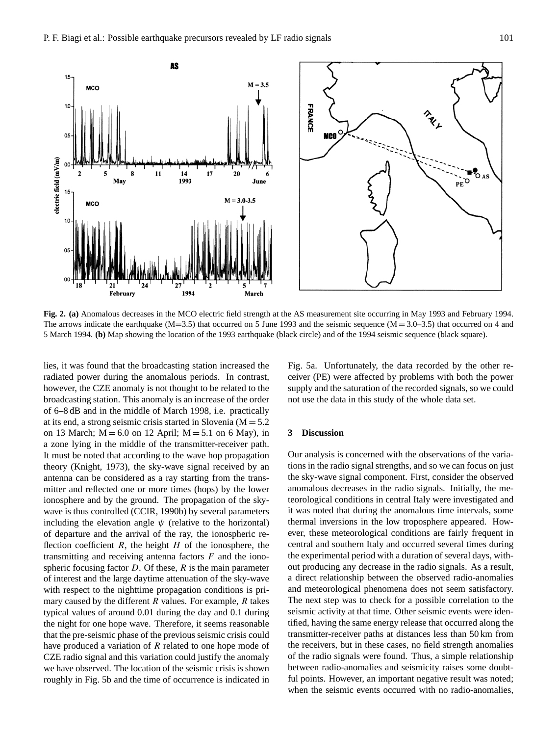

**Fig. 2. (a)** Anomalous decreases in the MCO electric field strength at the AS measurement site occurring in May 1993 and February 1994. The arrows indicate the earthquake  $(M=3.5)$  that occurred on 5 June 1993 and the seismic sequence  $(M=3.0-3.5)$  that occurred on 4 and 5 March 1994. **(b)** Map showing the location of the 1993 earthquake (black circle) and of the 1994 seismic sequence (black square).

lies, it was found that the broadcasting station increased the radiated power during the anomalous periods. In contrast, however, the CZE anomaly is not thought to be related to the broadcasting station. This anomaly is an increase of the order of 6–8 dB and in the middle of March 1998, i.e. practically at its end, a strong seismic crisis started in Slovenia  $(M = 5.2)$ on 13 March;  $M = 6.0$  on 12 April;  $M = 5.1$  on 6 May), in a zone lying in the middle of the transmitter-receiver path. It must be noted that according to the wave hop propagation theory (Knight, 1973), the sky-wave signal received by an antenna can be considered as a ray starting from the transmitter and reflected one or more times (hops) by the lower ionosphere and by the ground. The propagation of the skywave is thus controlled (CCIR, 1990b) by several parameters including the elevation angle  $\psi$  (relative to the horizontal) of departure and the arrival of the ray, the ionospheric reflection coefficient  $R$ , the height  $H$  of the ionosphere, the transmitting and receiving antenna factors  $F$  and the ionospheric focusing factor  $D$ . Of these,  $R$  is the main parameter of interest and the large daytime attenuation of the sky-wave with respect to the nighttime propagation conditions is primary caused by the different  $R$  values. For example,  $R$  takes typical values of around 0.01 during the day and 0.1 during the night for one hope wave. Therefore, it seems reasonable that the pre-seismic phase of the previous seismic crisis could have produced a variation of  $R$  related to one hope mode of CZE radio signal and this variation could justify the anomaly we have observed. The location of the seismic crisis is shown roughly in Fig. 5b and the time of occurrence is indicated in Fig. 5a. Unfortunately, the data recorded by the other receiver (PE) were affected by problems with both the power supply and the saturation of the recorded signals, so we could not use the data in this study of the whole data set.

## **3 Discussion**

Our analysis is concerned with the observations of the variations in the radio signal strengths, and so we can focus on just the sky-wave signal component. First, consider the observed anomalous decreases in the radio signals. Initially, the meteorological conditions in central Italy were investigated and it was noted that during the anomalous time intervals, some thermal inversions in the low troposphere appeared. However, these meteorological conditions are fairly frequent in central and southern Italy and occurred several times during the experimental period with a duration of several days, without producing any decrease in the radio signals. As a result, a direct relationship between the observed radio-anomalies and meteorological phenomena does not seem satisfactory. The next step was to check for a possible correlation to the seismic activity at that time. Other seismic events were identified, having the same energy release that occurred along the transmitter-receiver paths at distances less than 50 km from the receivers, but in these cases, no field strength anomalies of the radio signals were found. Thus, a simple relationship between radio-anomalies and seismicity raises some doubtful points. However, an important negative result was noted; when the seismic events occurred with no radio-anomalies,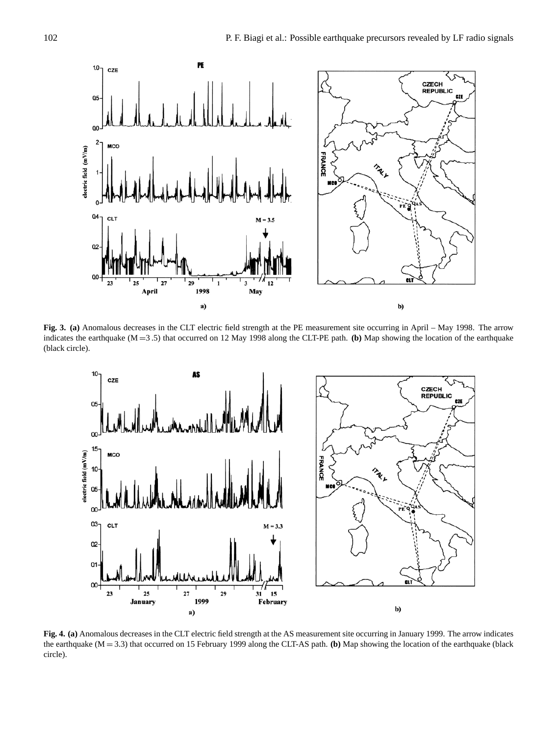

**Fig. 3. (a)** Anomalous decreases in the CLT electric field strength at the PE measurement site occurring in April – May 1998. The arrow indicates the earthquake (M =3 .5) that occurred on 12 May 1998 along the CLT-PE path. **(b)** Map showing the location of the earthquake (black circle).



**Fig. 4. (a)** Anomalous decreases in the CLT electric field strength at the AS measurement site occurring in January 1999. The arrow indicates the earthquake (M = 3.3) that occurred on 15 February 1999 along the CLT-AS path. **(b)** Map showing the location of the earthquake (black circle).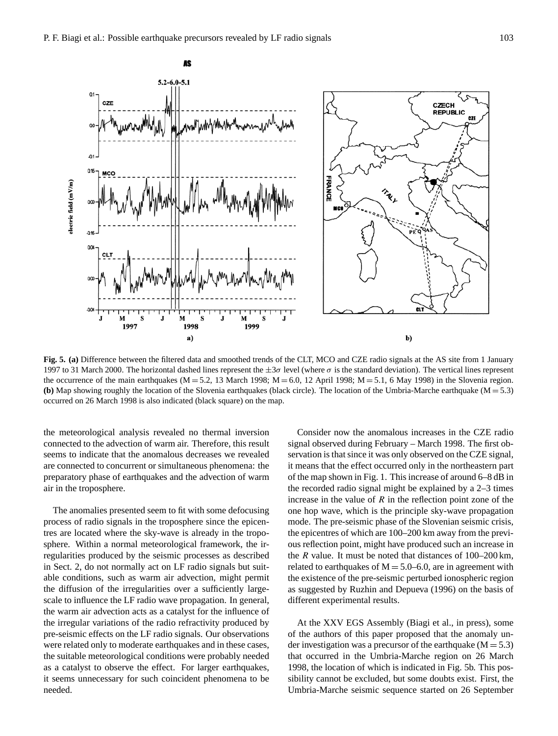

**Fig. 5. (a)** Difference between the filtered data and smoothed trends of the CLT, MCO and CZE radio signals at the AS site from 1 January 1997 to 31 March 2000. The horizontal dashed lines represent the  $\pm 3\sigma$  level (where σ is the standard deviation). The vertical lines represent the occurrence of the main earthquakes ( $M = 5.2$ , 13 March 1998;  $M = 6.0$ , 12 April 1998;  $M = 5.1$ , 6 May 1998) in the Slovenia region. **(b)** Map showing roughly the location of the Slovenia earthquakes (black circle). The location of the Umbria-Marche earthquake (M = 5.3) occurred on 26 March 1998 is also indicated (black square) on the map.

the meteorological analysis revealed no thermal inversion connected to the advection of warm air. Therefore, this result seems to indicate that the anomalous decreases we revealed are connected to concurrent or simultaneous phenomena: the preparatory phase of earthquakes and the advection of warm air in the troposphere.

The anomalies presented seem to fit with some defocusing process of radio signals in the troposphere since the epicentres are located where the sky-wave is already in the troposphere. Within a normal meteorological framework, the irregularities produced by the seismic processes as described in Sect. 2, do not normally act on LF radio signals but suitable conditions, such as warm air advection, might permit the diffusion of the irregularities over a sufficiently largescale to influence the LF radio wave propagation. In general, the warm air advection acts as a catalyst for the influence of the irregular variations of the radio refractivity produced by pre-seismic effects on the LF radio signals. Our observations were related only to moderate earthquakes and in these cases, the suitable meteorological conditions were probably needed as a catalyst to observe the effect. For larger earthquakes, it seems unnecessary for such coincident phenomena to be needed.

Consider now the anomalous increases in the CZE radio signal observed during February – March 1998. The first observation is that since it was only observed on the CZE signal, it means that the effect occurred only in the northeastern part of the map shown in Fig. 1. This increase of around 6–8 dB in the recorded radio signal might be explained by a 2–3 times increase in the value of  $R$  in the reflection point zone of the one hop wave, which is the principle sky-wave propagation mode. The pre-seismic phase of the Slovenian seismic crisis, the epicentres of which are 100–200 km away from the previous reflection point, might have produced such an increase in the  $R$  value. It must be noted that distances of  $100-200 \text{ km}$ , related to earthquakes of  $M = 5.0-6.0$ , are in agreement with the existence of the pre-seismic perturbed ionospheric region as suggested by Ruzhin and Depueva (1996) on the basis of different experimental results.

At the XXV EGS Assembly (Biagi et al., in press), some of the authors of this paper proposed that the anomaly under investigation was a precursor of the earthquake  $(M = 5.3)$ that occurred in the Umbria-Marche region on 26 March 1998, the location of which is indicated in Fig. 5b. This possibility cannot be excluded, but some doubts exist. First, the Umbria-Marche seismic sequence started on 26 September